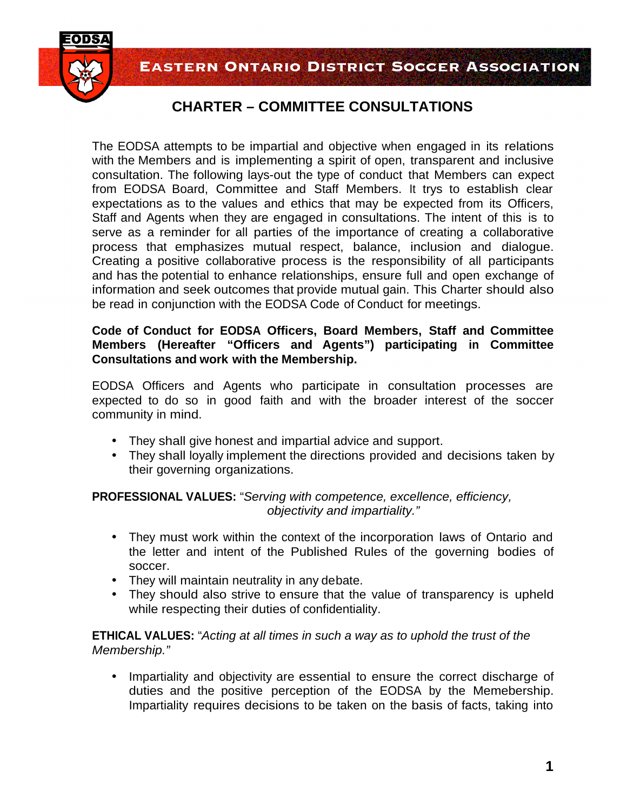**EASTERN ONTARIO DISTRICT SOCCER ASSOCIATION** 



## **CHARTER – COMMITTEE CONSULTATIONS**

The EODSA attempts to be impartial and objective when engaged in its relations with the Members and is implementing a spirit of open, transparent and inclusive consultation. The following lays-out the type of conduct that Members can expect from EODSA Board, Committee and Staff Members. It trys to establish clear expectations as to the values and ethics that may be expected from its Officers, Staff and Agents when they are engaged in consultations. The intent of this is to serve as a reminder for all parties of the importance of creating a collaborative process that emphasizes mutual respect, balance, inclusion and dialogue. Creating a positive collaborative process is the responsibility of all participants and has the potential to enhance relationships, ensure full and open exchange of information and seek outcomes that provide mutual gain. This Charter should also be read in conjunction with the EODSA Code of Conduct for meetings.

## **Code of Conduct for EODSA Officers, Board Members, Staff and Committee Members (Hereafter "Officers and Agents") participating in Committee Consultations and work with the Membership.**

EODSA Officers and Agents who participate in consultation processes are expected to do so in good faith and with the broader interest of the soccer community in mind.

- They shall give honest and impartial advice and support.
- They shall loyally implement the directions provided and decisions taken by their governing organizations.

**PROFESSIONAL VALUES:** "Serving with competence, excellence, efficiency, objectivity and impartiality."

- They must work within the context of the incorporation laws of Ontario and the letter and intent of the Published Rules of the governing bodies of soccer.
- They will maintain neutrality in any debate.
- They should also strive to ensure that the value of transparency is upheld while respecting their duties of confidentiality.

**ETHICAL VALUES:** "Acting at all times in such a way as to uphold the trust of the Membership."

• Impartiality and objectivity are essential to ensure the correct discharge of duties and the positive perception of the EODSA by the Memebership. Impartiality requires decisions to be taken on the basis of facts, taking into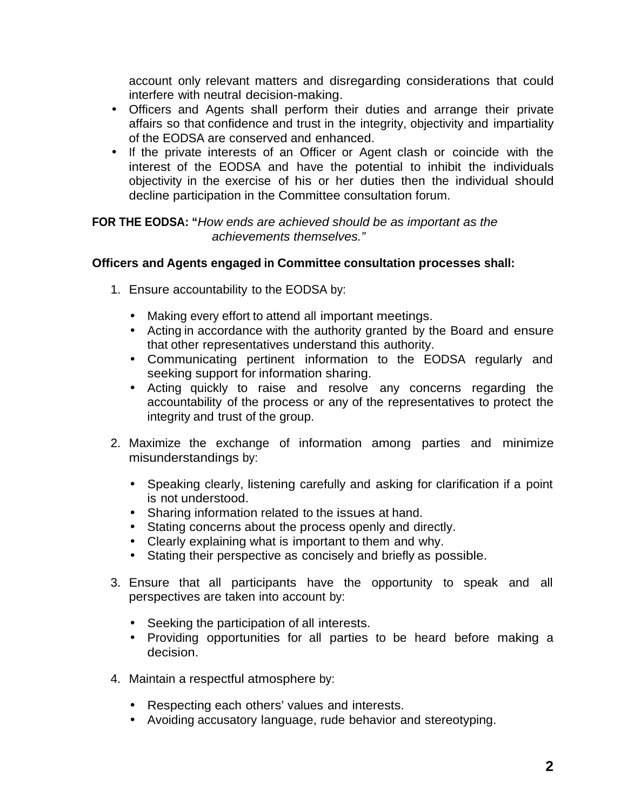account only relevant matters and disregarding considerations that could interfere with neutral decision-making.

- Officers and Agents shall perform their duties and arrange their private affairs so that confidence and trust in the integrity, objectivity and impartiality of the EODSA are conserved and enhanced.
- If the private interests of an Officer or Agent clash or coincide with the interest of the EODSA and have the potential to inhibit the individuals objectivity in the exercise of his or her duties then the individual should decline participation in the Committee consultation forum.

**FOR THE EODSA: "**How ends are achieved should be as important as the achievements themselves."

## **Officers and Agents engaged in Committee consultation processes shall:**

- 1. Ensure accountability to the EODSA by:
	- Making every effort to attend all important meetings.
	- Acting in accordance with the authority granted by the Board and ensure that other representatives understand this authority.
	- Communicating pertinent information to the EODSA regularly and seeking support for information sharing.
	- Acting quickly to raise and resolve any concerns regarding the accountability of the process or any of the representatives to protect the integrity and trust of the group.
- 2. Maximize the exchange of information among parties and minimize misunderstandings by:
	- Speaking clearly, listening carefully and asking for clarification if a point is not understood.
	- Sharing information related to the issues at hand.
	- Stating concerns about the process openly and directly.
	- Clearly explaining what is important to them and why.
	- Stating their perspective as concisely and briefly as possible.
- 3. Ensure that all participants have the opportunity to speak and all perspectives are taken into account by:
	- Seeking the participation of all interests.
	- Providing opportunities for all parties to be heard before making a decision.
- 4. Maintain a respectful atmosphere by:
	- Respecting each others' values and interests.
	- Avoiding accusatory language, rude behavior and stereotyping.